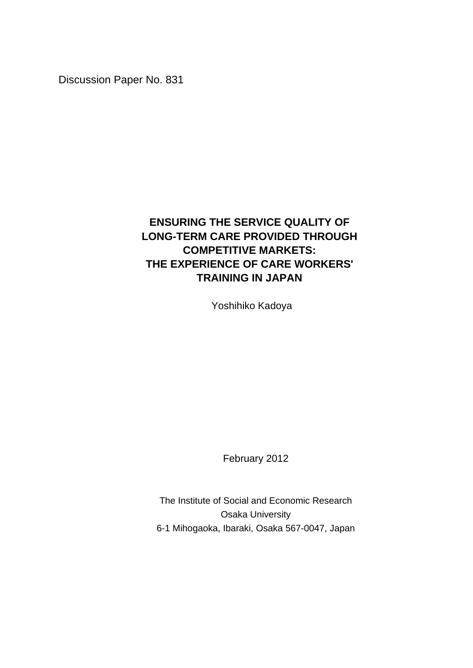Discussion Paper No. 831

# **ENSURING THE SERVICE QUALITY OF LONG-TERM CARE PROVIDED THROUGH COMPETITIVE MARKETS: THE EXPERIENCE OF CARE WORKERS' TRAINING IN JAPAN**

Yoshihiko Kadoya

February 2012

The Institute of Social and Economic Research Osaka University 6-1 Mihogaoka, Ibaraki, Osaka 567-0047, Japan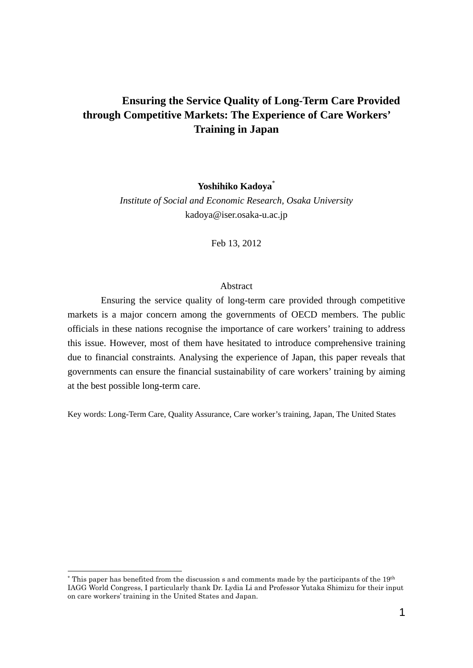## **Ensuring the Service Quality of Long-Term Care Provided through Competitive Markets: The Experience of Care Workers' Training in Japan**

**Yoshihiko Kadoya**\*

*Institute of Social and Economic Research, Osaka University*  kadoya@iser.osaka-u.ac.jp

Feb 13, 2012

#### Abstract

Ensuring the service quality of long-term care provided through competitive markets is a major concern among the governments of OECD members. The public officials in these nations recognise the importance of care workers' training to address this issue. However, most of them have hesitated to introduce comprehensive training due to financial constraints. Analysing the experience of Japan, this paper reveals that governments can ensure the financial sustainability of care workers' training by aiming at the best possible long-term care.

Key words: Long-Term Care, Quality Assurance, Care worker's training, Japan, The United States

 $*$  This paper has benefited from the discussion s and comments made by the participants of the 19<sup>th</sup> IAGG World Congress, I particularly thank Dr. Lydia Li and Professor Yutaka Shimizu for their input on care workers' training in the United States and Japan.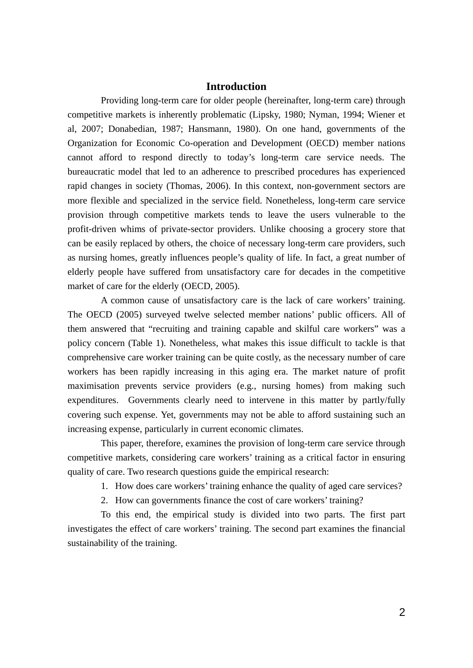## **Introduction**

Providing long-term care for older people (hereinafter, long-term care) through competitive markets is inherently problematic (Lipsky, 1980; Nyman, 1994; Wiener et al, 2007; Donabedian, 1987; Hansmann, 1980). On one hand, governments of the Organization for Economic Co-operation and Development (OECD) member nations cannot afford to respond directly to today's long-term care service needs. The bureaucratic model that led to an adherence to prescribed procedures has experienced rapid changes in society (Thomas, 2006). In this context, non-government sectors are more flexible and specialized in the service field. Nonetheless, long-term care service provision through competitive markets tends to leave the users vulnerable to the profit-driven whims of private-sector providers. Unlike choosing a grocery store that can be easily replaced by others, the choice of necessary long-term care providers, such as nursing homes, greatly influences people's quality of life. In fact, a great number of elderly people have suffered from unsatisfactory care for decades in the competitive market of care for the elderly (OECD, 2005).

A common cause of unsatisfactory care is the lack of care workers' training. The OECD (2005) surveyed twelve selected member nations' public officers. All of them answered that "recruiting and training capable and skilful care workers" was a policy concern (Table 1). Nonetheless, what makes this issue difficult to tackle is that comprehensive care worker training can be quite costly, as the necessary number of care workers has been rapidly increasing in this aging era. The market nature of profit maximisation prevents service providers (e.g., nursing homes) from making such expenditures. Governments clearly need to intervene in this matter by partly/fully covering such expense. Yet, governments may not be able to afford sustaining such an increasing expense, particularly in current economic climates.

This paper, therefore, examines the provision of long-term care service through competitive markets, considering care workers' training as a critical factor in ensuring quality of care. Two research questions guide the empirical research:

1. How does care workers' training enhance the quality of aged care services?

2. How can governments finance the cost of care workers' training?

To this end, the empirical study is divided into two parts. The first part investigates the effect of care workers' training. The second part examines the financial sustainability of the training.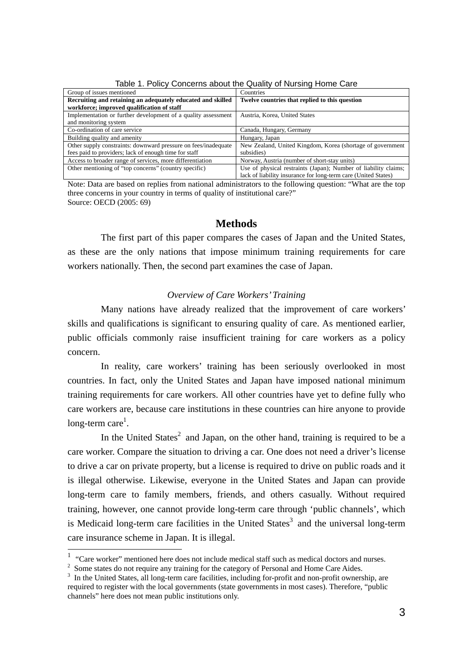| Group of issues mentioned                                      | Countries                                                       |
|----------------------------------------------------------------|-----------------------------------------------------------------|
| Recruiting and retaining an adequately educated and skilled    | Twelve countries that replied to this question                  |
| workforce; improved qualification of staff                     |                                                                 |
| Implementation or further development of a quality assessment  | Austria, Korea, United States                                   |
| and monitoring system                                          |                                                                 |
| Co-ordination of care service                                  | Canada, Hungary, Germany                                        |
| Building quality and amenity                                   | Hungary, Japan                                                  |
| Other supply constraints: downward pressure on fees/inadequate | New Zealand, United Kingdom, Korea (shortage of government)     |
| fees paid to providers; lack of enough time for staff          | subsidies)                                                      |
| Access to broader range of services, more differentiation      | Norway, Austria (number of short-stay units)                    |
| Other mentioning of "top concerns" (country specific)          | Use of physical restraints (Japan); Number of liability claims; |
|                                                                | lack of liability insurance for long-term care (United States)  |

Table 1. Policy Concerns about the Quality of Nursing Home Care

Note: Data are based on replies from national administrators to the following question: "What are the top three concerns in your country in terms of quality of institutional care?" Source: OECD (2005: 69)

## **Methods**

The first part of this paper compares the cases of Japan and the United States, as these are the only nations that impose minimum training requirements for care workers nationally. Then, the second part examines the case of Japan.

## *Overview of Care Workers' Training*

Many nations have already realized that the improvement of care workers' skills and qualifications is significant to ensuring quality of care. As mentioned earlier, public officials commonly raise insufficient training for care workers as a policy concern.

In reality, care workers' training has been seriously overlooked in most countries. In fact, only the United States and Japan have imposed national minimum training requirements for care workers. All other countries have yet to define fully who care workers are, because care institutions in these countries can hire anyone to provide long-term care<sup>1</sup>.

In the United States<sup>2</sup> and Japan, on the other hand, training is required to be a care worker. Compare the situation to driving a car. One does not need a driver's license to drive a car on private property, but a license is required to drive on public roads and it is illegal otherwise. Likewise, everyone in the United States and Japan can provide long-term care to family members, friends, and others casually. Without required training, however, one cannot provide long-term care through 'public channels', which is Medicaid long-term care facilities in the United States<sup>3</sup> and the universal long-term care insurance scheme in Japan. It is illegal.

 $1$  "Care worker" mentioned here does not include medical staff such as medical doctors and nurses.

 $2\,$  Some states do not require any training for the category of Personal and Home Care Aides.

<sup>&</sup>lt;sup>3</sup> In the United States, all long-term care facilities, including for-profit and non-profit ownership, are required to register with the local governments (state governments in most cases). Therefore, "public channels" here does not mean public institutions only.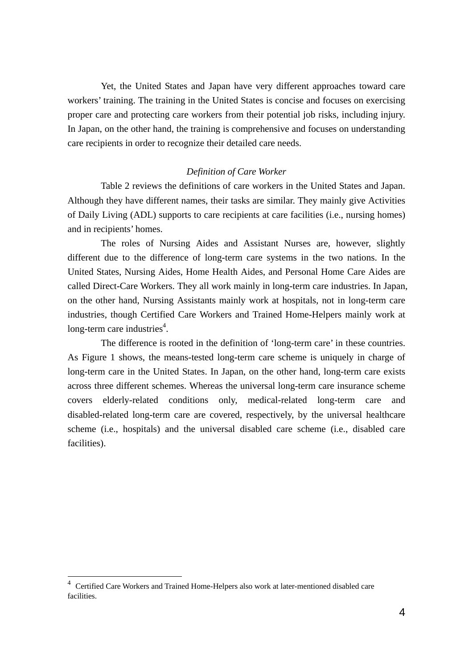Yet, the United States and Japan have very different approaches toward care workers' training. The training in the United States is concise and focuses on exercising proper care and protecting care workers from their potential job risks, including injury. In Japan, on the other hand, the training is comprehensive and focuses on understanding care recipients in order to recognize their detailed care needs.

## *Definition of Care Worker*

Table 2 reviews the definitions of care workers in the United States and Japan. Although they have different names, their tasks are similar. They mainly give Activities of Daily Living (ADL) supports to care recipients at care facilities (i.e., nursing homes) and in recipients' homes.

The roles of Nursing Aides and Assistant Nurses are, however, slightly different due to the difference of long-term care systems in the two nations. In the United States, Nursing Aides, Home Health Aides, and Personal Home Care Aides are called Direct-Care Workers. They all work mainly in long-term care industries. In Japan, on the other hand, Nursing Assistants mainly work at hospitals, not in long-term care industries, though Certified Care Workers and Trained Home-Helpers mainly work at long-term care industries<sup>4</sup>.

The difference is rooted in the definition of 'long-term care' in these countries. As Figure 1 shows, the means-tested long-term care scheme is uniquely in charge of long-term care in the United States. In Japan, on the other hand, long-term care exists across three different schemes. Whereas the universal long-term care insurance scheme covers elderly-related conditions only, medical-related long-term care and disabled-related long-term care are covered, respectively, by the universal healthcare scheme (i.e., hospitals) and the universal disabled care scheme (i.e., disabled care facilities).

<sup>&</sup>lt;sup>4</sup> Certified Care Workers and Trained Home-Helpers also work at later-mentioned disabled care facilities.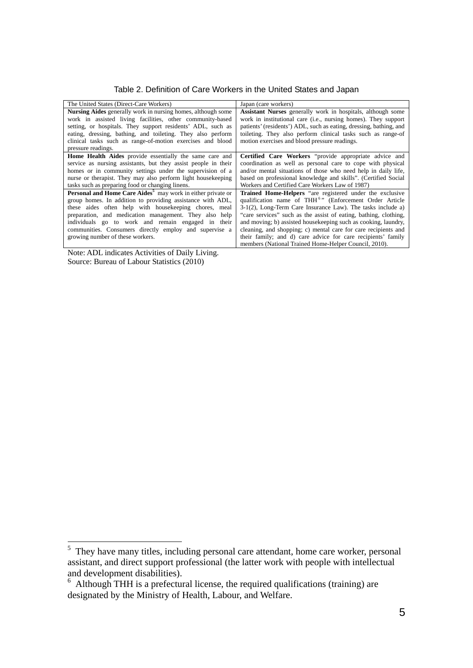Table 2. Definition of Care Workers in the United States and Japan

| The United States (Direct-Care Workers)                                               | Japan (care workers)                                                    |
|---------------------------------------------------------------------------------------|-------------------------------------------------------------------------|
| <b>Nursing Aides</b> generally work in nursing homes, although some                   | <b>Assistant Nurses</b> generally work in hospitals, although some      |
| work in assisted living facilities, other community-based                             | work in institutional care ( <i>i.e.</i> , nursing homes). They support |
| setting, or hospitals. They support residents' ADL, such as                           | patients' (residents') ADL, such as eating, dressing, bathing, and      |
| eating, dressing, bathing, and toileting. They also perform                           | toileting. They also perform clinical tasks such as range-of            |
| clinical tasks such as range-of-motion exercises and blood                            | motion exercises and blood pressure readings.                           |
| pressure readings.                                                                    |                                                                         |
| <b>Home Health Aides</b> provide essentially the same care and                        | Certified Care Workers "provide appropriate advice and                  |
| service as nursing assistants, but they assist people in their                        | coordination as well as personal care to cope with physical             |
| homes or in community settings under the supervision of a                             | and/or mental situations of those who need help in daily life,          |
| nurse or therapist. They may also perform light house keeping                         | based on professional knowledge and skills". (Certified Social          |
| tasks such as preparing food or changing linens.                                      | Workers and Certified Care Workers Law of 1987)                         |
| <b>Personal and Home Care Aides<sup>5</sup></b> may work in either private or         | Trained Home-Helpers "are registered under the exclusive                |
| group homes. In addition to providing assistance with ADL,                            | qualification name of THH <sup>6</sup> " (Enforcement Order Article     |
| these aides often help with housekeeping chores, meal                                 | $3-1(2)$ , Long-Term Care Insurance Law). The tasks include a)          |
| preparation, and medication management. They also help                                | "care services" such as the assist of eating, bathing, clothing,        |
| individuals go to work and remain engaged in their                                    | and moving; b) assisted housekeeping such as cooking, laundry,          |
| communities. Consumers directly employ and supervise a                                | cleaning, and shopping; c) mental care for care recipients and          |
| growing number of these workers.                                                      | their family; and d) care advice for care recipients' family            |
|                                                                                       | members (National Trained Home-Helper Council, 2010).                   |
| .<br>$\mathbf{r}$ and $\mathbf{r}$ and $\mathbf{r}$ and $\mathbf{r}$ and $\mathbf{r}$ |                                                                         |

Note: ADL indicates Activities of Daily Living. Source: Bureau of Labour Statistics (2010)

<sup>&</sup>lt;sup>5</sup> They have many titles, including personal care attendant, home care worker, personal assistant, and direct support professional (the latter work with people with intellectual and development disabilities).

<sup>&</sup>lt;sup>6</sup> Although THH is a prefectural license, the required qualifications (training) are designated by the Ministry of Health, Labour, and Welfare.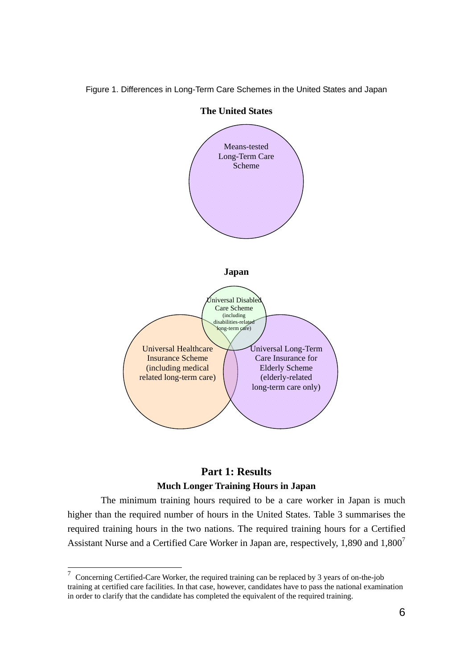



**The United States** 

## **Part 1: Results Much Longer Training Hours in Japan**

The minimum training hours required to be a care worker in Japan is much higher than the required number of hours in the United States. Table 3 summarises the required training hours in the two nations. The required training hours for a Certified Assistant Nurse and a Certified Care Worker in Japan are, respectively, 1,890 and  $1,800<sup>7</sup>$ 

 $7$  Concerning Certified-Care Worker, the required training can be replaced by 3 years of on-the-job training at certified care facilities. In that case, however, candidates have to pass the national examination in order to clarify that the candidate has completed the equivalent of the required training.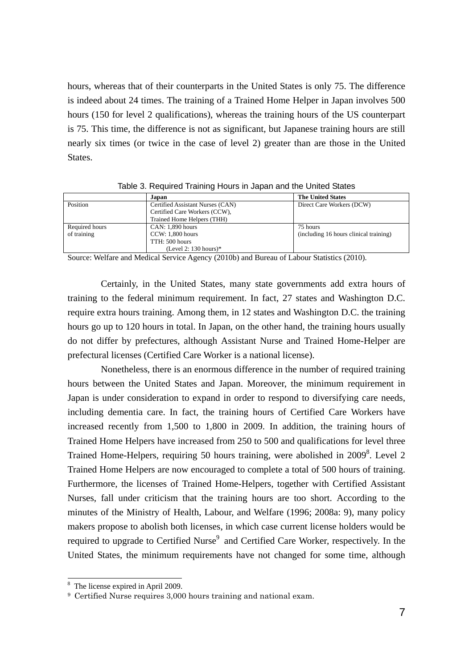hours, whereas that of their counterparts in the United States is only 75. The difference is indeed about 24 times. The training of a Trained Home Helper in Japan involves 500 hours (150 for level 2 qualifications), whereas the training hours of the US counterpart is 75. This time, the difference is not as significant, but Japanese training hours are still nearly six times (or twice in the case of level 2) greater than are those in the United States.

|                | Japan                            | <b>The United States</b>               |
|----------------|----------------------------------|----------------------------------------|
| Position       | Certified Assistant Nurses (CAN) | Direct Care Workers (DCW)              |
|                | Certified Care Workers (CCW),    |                                        |
|                | Trained Home Helpers (THH)       |                                        |
| Required hours | CAN: 1,890 hours                 | 75 hours                               |
| of training    | $CCW: 1,800$ hours               | (including 16 hours clinical training) |
|                | TTH: 500 hours                   |                                        |
|                | (Level 2: $130$ hours)*          |                                        |

Table 3. Required Training Hours in Japan and the United States

Source: Welfare and Medical Service Agency (2010b) and Bureau of Labour Statistics (2010).

Certainly, in the United States, many state governments add extra hours of training to the federal minimum requirement. In fact, 27 states and Washington D.C. require extra hours training. Among them, in 12 states and Washington D.C. the training hours go up to 120 hours in total. In Japan, on the other hand, the training hours usually do not differ by prefectures, although Assistant Nurse and Trained Home-Helper are prefectural licenses (Certified Care Worker is a national license).

Nonetheless, there is an enormous difference in the number of required training hours between the United States and Japan. Moreover, the minimum requirement in Japan is under consideration to expand in order to respond to diversifying care needs, including dementia care. In fact, the training hours of Certified Care Workers have increased recently from 1,500 to 1,800 in 2009. In addition, the training hours of Trained Home Helpers have increased from 250 to 500 and qualifications for level three Trained Home-Helpers, requiring 50 hours training, were abolished in 2009<sup>8</sup>. Level 2 Trained Home Helpers are now encouraged to complete a total of 500 hours of training. Furthermore, the licenses of Trained Home-Helpers, together with Certified Assistant Nurses, fall under criticism that the training hours are too short. According to the minutes of the Ministry of Health, Labour, and Welfare (1996; 2008a: 9), many policy makers propose to abolish both licenses, in which case current license holders would be required to upgrade to Certified Nurse<sup>9</sup> and Certified Care Worker, respectively. In the United States, the minimum requirements have not changed for some time, although

<sup>8</sup> The license expired in April 2009.

<sup>9</sup> Certified Nurse requires 3,000 hours training and national exam.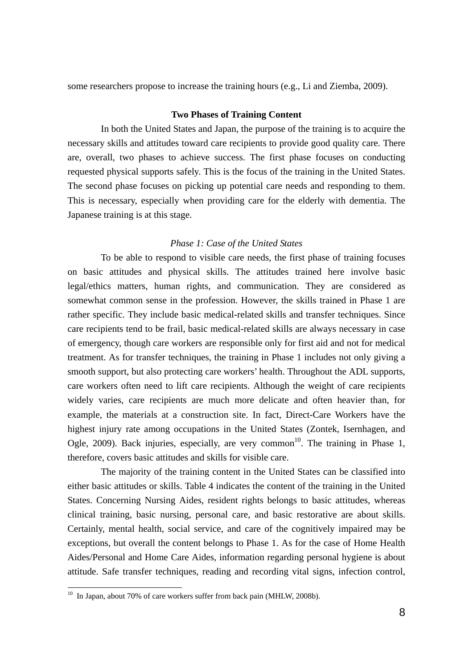some researchers propose to increase the training hours (e.g., Li and Ziemba, 2009).

#### **Two Phases of Training Content**

In both the United States and Japan, the purpose of the training is to acquire the necessary skills and attitudes toward care recipients to provide good quality care. There are, overall, two phases to achieve success. The first phase focuses on conducting requested physical supports safely. This is the focus of the training in the United States. The second phase focuses on picking up potential care needs and responding to them. This is necessary, especially when providing care for the elderly with dementia. The Japanese training is at this stage.

#### *Phase 1: Case of the United States*

To be able to respond to visible care needs, the first phase of training focuses on basic attitudes and physical skills. The attitudes trained here involve basic legal/ethics matters, human rights, and communication. They are considered as somewhat common sense in the profession. However, the skills trained in Phase 1 are rather specific. They include basic medical-related skills and transfer techniques. Since care recipients tend to be frail, basic medical-related skills are always necessary in case of emergency, though care workers are responsible only for first aid and not for medical treatment. As for transfer techniques, the training in Phase 1 includes not only giving a smooth support, but also protecting care workers' health. Throughout the ADL supports, care workers often need to lift care recipients. Although the weight of care recipients widely varies, care recipients are much more delicate and often heavier than, for example, the materials at a construction site. In fact, Direct-Care Workers have the highest injury rate among occupations in the United States (Zontek, Isernhagen, and Ogle, 2009). Back injuries, especially, are very common<sup>10</sup>. The training in Phase 1, therefore, covers basic attitudes and skills for visible care.

The majority of the training content in the United States can be classified into either basic attitudes or skills. Table 4 indicates the content of the training in the United States. Concerning Nursing Aides, resident rights belongs to basic attitudes, whereas clinical training, basic nursing, personal care, and basic restorative are about skills. Certainly, mental health, social service, and care of the cognitively impaired may be exceptions, but overall the content belongs to Phase 1. As for the case of Home Health Aides/Personal and Home Care Aides, information regarding personal hygiene is about attitude. Safe transfer techniques, reading and recording vital signs, infection control,

 $10$  In Japan, about 70% of care workers suffer from back pain (MHLW, 2008b).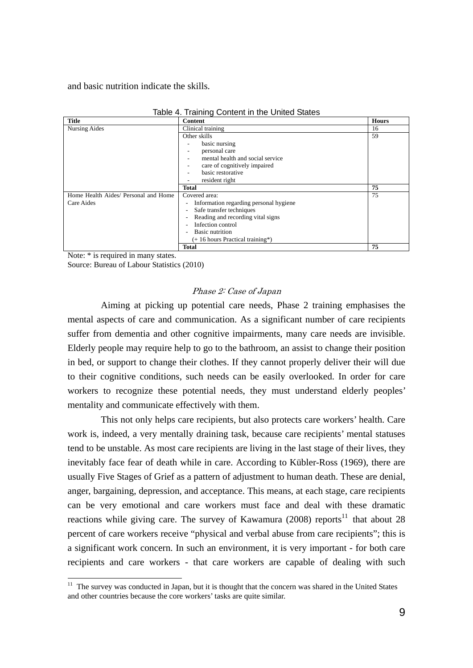and basic nutrition indicate the skills.

|                                      | rable +. Trailing Content in the United Otates           |              |
|--------------------------------------|----------------------------------------------------------|--------------|
| <b>Title</b>                         | <b>Content</b>                                           | <b>Hours</b> |
| <b>Nursing Aides</b>                 | Clinical training                                        | 16           |
|                                      | Other skills                                             | 59           |
|                                      | basic nursing                                            |              |
|                                      | personal care                                            |              |
|                                      | mental health and social service                         |              |
|                                      | care of cognitively impaired                             |              |
|                                      | basic restorative                                        |              |
|                                      | resident right                                           |              |
|                                      | <b>Total</b>                                             | 75           |
| Home Health Aides/ Personal and Home | Covered area:                                            | 75           |
| Care Aides                           | Information regarding personal hygiene<br>$\overline{a}$ |              |
|                                      | Safe transfer techniques<br>۰                            |              |
|                                      | Reading and recording vital signs                        |              |
|                                      | Infection control                                        |              |
|                                      | <b>Basic nutrition</b><br>۰                              |              |
|                                      | $(+ 16$ hours Practical training*)                       |              |
|                                      | <b>Total</b>                                             | 75           |

| Table 4. Training Content in the United States |  |
|------------------------------------------------|--|
|------------------------------------------------|--|

Note: \* is required in many states.

-

Source: Bureau of Labour Statistics (2010)

## Phase 2: Case of Japan

Aiming at picking up potential care needs, Phase 2 training emphasises the mental aspects of care and communication. As a significant number of care recipients suffer from dementia and other cognitive impairments, many care needs are invisible. Elderly people may require help to go to the bathroom, an assist to change their position in bed, or support to change their clothes. If they cannot properly deliver their will due to their cognitive conditions, such needs can be easily overlooked. In order for care workers to recognize these potential needs, they must understand elderly peoples' mentality and communicate effectively with them.

This not only helps care recipients, but also protects care workers' health. Care work is, indeed, a very mentally draining task, because care recipients' mental statuses tend to be unstable. As most care recipients are living in the last stage of their lives, they inevitably face fear of death while in care. According to Kübler-Ross (1969), there are usually Five Stages of Grief as a pattern of adjustment to human death. These are denial, anger, bargaining, depression, and acceptance. This means, at each stage, care recipients can be very emotional and care workers must face and deal with these dramatic reactions while giving care. The survey of Kawamura (2008) reports<sup>11</sup> that about 28 percent of care workers receive "physical and verbal abuse from care recipients"; this is a significant work concern. In such an environment, it is very important - for both care recipients and care workers - that care workers are capable of dealing with such

 $11$  The survey was conducted in Japan, but it is thought that the concern was shared in the United States and other countries because the core workers' tasks are quite similar.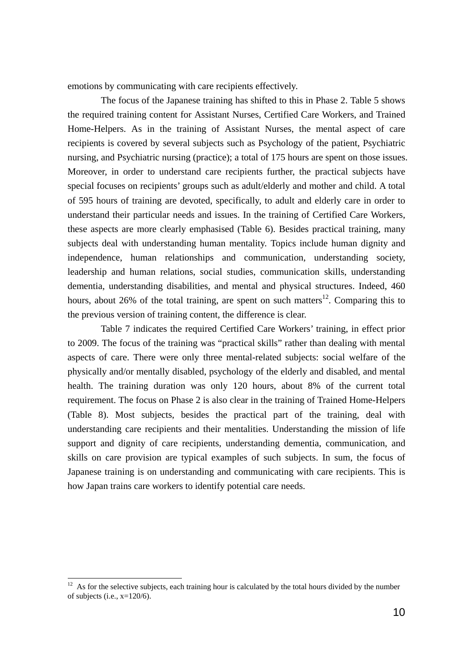emotions by communicating with care recipients effectively.

The focus of the Japanese training has shifted to this in Phase 2. Table 5 shows the required training content for Assistant Nurses, Certified Care Workers, and Trained Home-Helpers. As in the training of Assistant Nurses, the mental aspect of care recipients is covered by several subjects such as Psychology of the patient, Psychiatric nursing, and Psychiatric nursing (practice); a total of 175 hours are spent on those issues. Moreover, in order to understand care recipients further, the practical subjects have special focuses on recipients' groups such as adult/elderly and mother and child. A total of 595 hours of training are devoted, specifically, to adult and elderly care in order to understand their particular needs and issues. In the training of Certified Care Workers, these aspects are more clearly emphasised (Table 6). Besides practical training, many subjects deal with understanding human mentality. Topics include human dignity and independence, human relationships and communication, understanding society, leadership and human relations, social studies, communication skills, understanding dementia, understanding disabilities, and mental and physical structures. Indeed, 460 hours, about 26% of the total training, are spent on such matters<sup>12</sup>. Comparing this to the previous version of training content, the difference is clear.

Table 7 indicates the required Certified Care Workers' training, in effect prior to 2009. The focus of the training was "practical skills" rather than dealing with mental aspects of care. There were only three mental-related subjects: social welfare of the physically and/or mentally disabled, psychology of the elderly and disabled, and mental health. The training duration was only 120 hours, about 8% of the current total requirement. The focus on Phase 2 is also clear in the training of Trained Home-Helpers (Table 8). Most subjects, besides the practical part of the training, deal with understanding care recipients and their mentalities. Understanding the mission of life support and dignity of care recipients, understanding dementia, communication, and skills on care provision are typical examples of such subjects. In sum, the focus of Japanese training is on understanding and communicating with care recipients. This is how Japan trains care workers to identify potential care needs.

 $12$  As for the selective subjects, each training hour is calculated by the total hours divided by the number of subjects (i.e.,  $x=120/6$ ).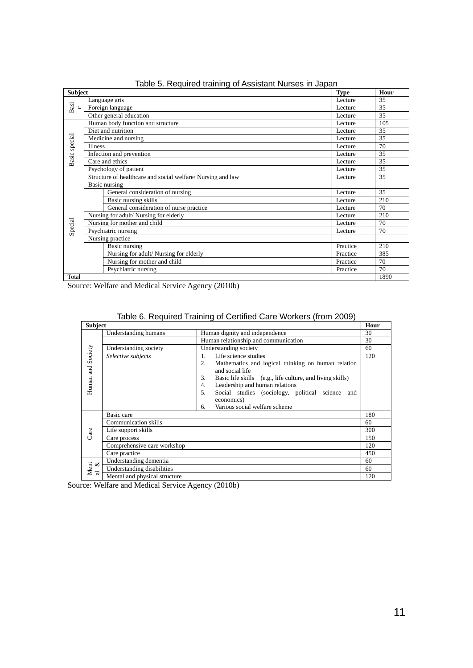| <b>Subject</b>  |                                                            | <b>Type</b> | Hour |
|-----------------|------------------------------------------------------------|-------------|------|
|                 | Language arts                                              | Lecture     | 35   |
| Basi<br>$\circ$ | Foreign language<br>Lecture                                |             | 35   |
|                 | Other general education                                    | Lecture     | 35   |
|                 | Human body function and structure                          | Lecture     | 105  |
|                 | Diet and nutrition                                         | Lecture     | 35   |
| Basic special   | Medicine and nursing                                       | Lecture     | 35   |
|                 | <b>Illness</b>                                             | Lecture     | 70   |
|                 | Infection and prevention                                   | Lecture     | 35   |
|                 | Care and ethics                                            | Lecture     | 35   |
|                 | Psychology of patient                                      | Lecture     | 35   |
|                 | Structure of healthcare and social welfare/Nursing and law | Lecture     | 35   |
|                 | Basic nursing                                              |             |      |
|                 | General consideration of nursing                           | Lecture     | 35   |
|                 | Basic nursing skills                                       | Lecture     | 210  |
|                 | General consideration of nurse practice                    | Lecture     | 70   |
|                 | Nursing for adult/Nursing for elderly                      | Lecture     | 210  |
| Special         | Nursing for mother and child                               | Lecture     | 70   |
|                 | Psychiatric nursing                                        | Lecture     | 70   |
|                 | Nursing practice                                           |             |      |
|                 | Basic nursing                                              | Practice    | 210  |
|                 | Nursing for adult/Nursing for elderly                      | Practice    | 385  |
|                 | Nursing for mother and child                               | Practice    | 70   |
|                 | Psychiatric nursing                                        | Practice    | 70   |
| Total           |                                                            |             | 1890 |

| Table 5. Required training of Assistant Nurses in Japan |  |  |  |  |  |  |
|---------------------------------------------------------|--|--|--|--|--|--|
|---------------------------------------------------------|--|--|--|--|--|--|

Source: Welfare and Medical Service Agency (2010b)

| <b>Subject</b>    |                               |                                                                             | Hour |
|-------------------|-------------------------------|-----------------------------------------------------------------------------|------|
|                   | Understanding humans          | Human dignity and independence                                              | 30   |
|                   |                               | Human relationship and communication                                        | 30   |
|                   | Understanding society         | Understanding society                                                       | 60   |
|                   | Selective subjects            | Life science studies<br>$1_{-}$                                             | 120  |
| Human and Society |                               | Mathematics and logical thinking on human relation<br>2.<br>and social life |      |
|                   |                               | Basic life skills (e.g., life culture, and living skills)<br>3.             |      |
|                   |                               | Leadership and human relations<br>4.                                        |      |
|                   |                               | 5.<br>Social studies (sociology, political science and<br>economics)        |      |
|                   |                               | Various social welfare scheme<br>6.                                         |      |
|                   | Basic care                    |                                                                             | 180  |
|                   | <b>Communication skills</b>   |                                                                             | 60   |
| Care              | Life support skills           |                                                                             | 300  |
|                   | Care process                  |                                                                             | 150  |
|                   | Comprehensive care workshop   |                                                                             | 120  |
|                   | Care practice                 |                                                                             | 450  |
| ళ                 | Understanding dementia        |                                                                             | 60   |
| Ment              | Understanding disabilities    |                                                                             | 60   |
| ಡ                 | Mental and physical structure |                                                                             | 120  |

Table 6. Required Training of Certified Care Workers (from 2009)

Source: Welfare and Medical Service Agency (2010b)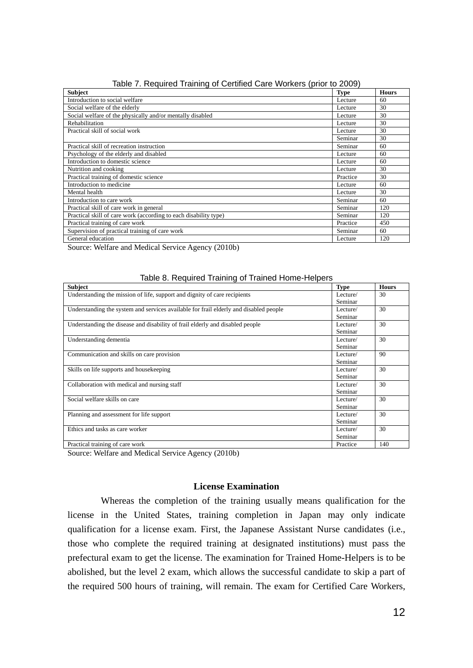| <b>Subject</b>                                                   | <b>Type</b> | <b>Hours</b> |
|------------------------------------------------------------------|-------------|--------------|
| Introduction to social welfare                                   | Lecture     | 60           |
| Social welfare of the elderly                                    | Lecture     | 30           |
| Social welfare of the physically and/or mentally disabled        | Lecture     | 30           |
| Rehabilitation                                                   | Lecture     | 30           |
| Practical skill of social work                                   | Lecture     | 30           |
|                                                                  | Seminar     | 30           |
| Practical skill of recreation instruction                        | Seminar     | 60           |
| Psychology of the elderly and disabled                           | Lecture     | 60           |
| Introduction to domestic science                                 | Lecture     | 60           |
| Nutrition and cooking                                            | Lecture     | 30           |
| Practical training of domestic science                           | Practice    | 30           |
| Introduction to medicine                                         | Lecture     | 60           |
| Mental health                                                    | Lecture     | 30           |
| Introduction to care work                                        | Seminar     | 60           |
| Practical skill of care work in general                          | Seminar     | 120          |
| Practical skill of care work (according to each disability type) | Seminar     | 120          |
| Practical training of care work                                  | Practice    | 450          |
| Supervision of practical training of care work                   | Seminar     | 60           |
| General education                                                | Lecture     | 120          |

Table 7. Required Training of Certified Care Workers (prior to 2009)

Source: Welfare and Medical Service Agency (2010b)

| <b>Subject</b>                                                                        | <b>Type</b> | <b>Hours</b> |
|---------------------------------------------------------------------------------------|-------------|--------------|
| Understanding the mission of life, support and dignity of care recipients             | Lecture/    | 30           |
|                                                                                       | Seminar     |              |
| Understanding the system and services available for frail elderly and disabled people | Lecture/    | 30           |
|                                                                                       | Seminar     |              |
| Understanding the disease and disability of frail elderly and disabled people         | Lecture/    | 30           |
|                                                                                       | Seminar     |              |
| Understanding dementia                                                                | Lecture/    | 30           |
|                                                                                       | Seminar     |              |
| Communication and skills on care provision                                            | Lecture/    | 90           |
|                                                                                       | Seminar     |              |
| Skills on life supports and housekeeping                                              | Lecture/    | 30           |
|                                                                                       | Seminar     |              |
| Collaboration with medical and nursing staff                                          | Lecture/    | 30           |
|                                                                                       | Seminar     |              |
| Social welfare skills on care                                                         | Lecture/    | 30           |
|                                                                                       | Seminar     |              |
| Planning and assessment for life support                                              | Lecture/    | 30           |
|                                                                                       | Seminar     |              |
| Ethics and tasks as care worker                                                       | Lecture/    | 30           |
|                                                                                       | Seminar     |              |
| Practical training of care work                                                       | Practice    | 140          |

#### Table 8. Required Training of Trained Home-Helpers

Source: Welfare and Medical Service Agency (2010b)

## **License Examination**

Whereas the completion of the training usually means qualification for the license in the United States, training completion in Japan may only indicate qualification for a license exam. First, the Japanese Assistant Nurse candidates (i.e., those who complete the required training at designated institutions) must pass the prefectural exam to get the license. The examination for Trained Home-Helpers is to be abolished, but the level 2 exam, which allows the successful candidate to skip a part of the required 500 hours of training, will remain. The exam for Certified Care Workers,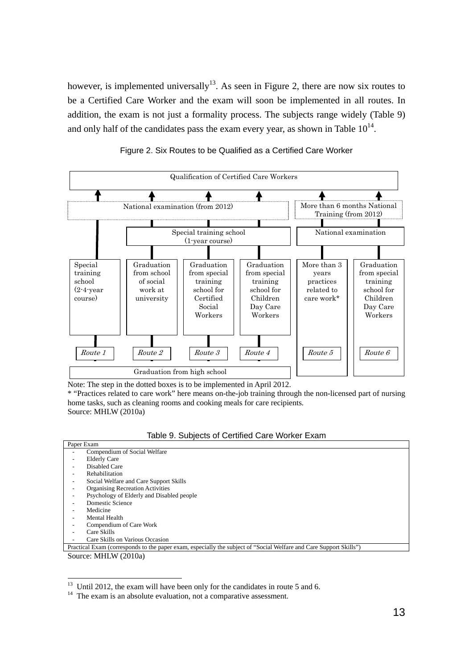however, is implemented universally<sup>13</sup>. As seen in Figure 2, there are now six routes to be a Certified Care Worker and the exam will soon be implemented in all routes. In addition, the exam is not just a formality process. The subjects range widely (Table 9) and only half of the candidates pass the exam every year, as shown in Table  $10^{14}$ .



#### Figure 2. Six Routes to be Qualified as a Certified Care Worker

Note: The step in the dotted boxes is to be implemented in April 2012.

\* "Practices related to care work" here means on-the-job training through the non-licensed part of nursing home tasks, such as cleaning rooms and cooking meals for care recipients. Source: MHLW (2010a)

| Table 9. Subjects of Certified Care Worker Exam |  |  |  |  |  |  |  |
|-------------------------------------------------|--|--|--|--|--|--|--|
|-------------------------------------------------|--|--|--|--|--|--|--|

| Paper Exam                                                                                                         |
|--------------------------------------------------------------------------------------------------------------------|
| Compendium of Social Welfare                                                                                       |
| <b>Elderly Care</b>                                                                                                |
| <b>Disabled Care</b>                                                                                               |
| Rehabilitation                                                                                                     |
| Social Welfare and Care Support Skills                                                                             |
| <b>Organising Recreation Activities</b>                                                                            |
| Psychology of Elderly and Disabled people                                                                          |
| Domestic Science                                                                                                   |
| Medicine                                                                                                           |
| Mental Health                                                                                                      |
| Compendium of Care Work                                                                                            |
| Care Skills                                                                                                        |
| Care Skills on Various Occasion                                                                                    |
| Practical Exam (corresponds to the paper exam, especially the subject of "Social Welfare and Care Support Skills") |

Source: MHLW (2010a)

 $13$  Until 2012, the exam will have been only for the candidates in route 5 and 6.

<sup>&</sup>lt;sup>14</sup> The exam is an absolute evaluation, not a comparative assessment.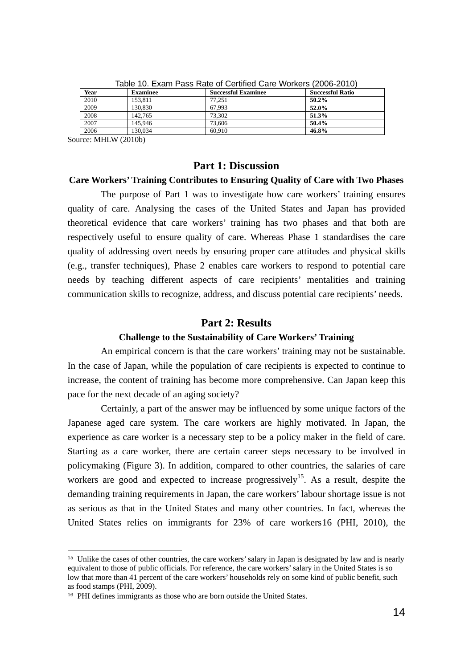| Year<br><b>Examinee</b> |         | <b>Successful Examinee</b> | <b>Successful Ratio</b> |
|-------------------------|---------|----------------------------|-------------------------|
| 2010                    | 153.811 | 77.251                     | $50.2\%$                |
| 2009                    | 130,830 | 67.993                     | 52.0%                   |
| 2008                    | 142,765 | 73.302                     | 51.3%                   |
| 2007                    | 145,946 | 73,606                     | 50.4%                   |
| 2006                    | 130.034 | 60.910                     | 46.8%                   |

Table 10. Exam Pass Rate of Certified Care Workers (2006-2010)

Source: MHLW (2010b)

-

## **Part 1: Discussion**

## **Care Workers' Training Contributes to Ensuring Quality of Care with Two Phases**

The purpose of Part 1 was to investigate how care workers' training ensures quality of care. Analysing the cases of the United States and Japan has provided theoretical evidence that care workers' training has two phases and that both are respectively useful to ensure quality of care. Whereas Phase 1 standardises the care quality of addressing overt needs by ensuring proper care attitudes and physical skills (e.g., transfer techniques), Phase 2 enables care workers to respond to potential care needs by teaching different aspects of care recipients' mentalities and training communication skills to recognize, address, and discuss potential care recipients' needs.

### **Part 2: Results**

## **Challenge to the Sustainability of Care Workers' Training**

An empirical concern is that the care workers' training may not be sustainable. In the case of Japan, while the population of care recipients is expected to continue to increase, the content of training has become more comprehensive. Can Japan keep this pace for the next decade of an aging society?

Certainly, a part of the answer may be influenced by some unique factors of the Japanese aged care system. The care workers are highly motivated. In Japan, the experience as care worker is a necessary step to be a policy maker in the field of care. Starting as a care worker, there are certain career steps necessary to be involved in policymaking (Figure 3). In addition, compared to other countries, the salaries of care workers are good and expected to increase progressively<sup>15</sup>. As a result, despite the demanding training requirements in Japan, the care workers' labour shortage issue is not as serious as that in the United States and many other countries. In fact, whereas the United States relies on immigrants for 23% of care workers16 (PHI, 2010), the

<sup>&</sup>lt;sup>15</sup> Unlike the cases of other countries, the care workers' salary in Japan is designated by law and is nearly equivalent to those of public officials. For reference, the care workers' salary in the United States is so low that more than 41 percent of the care workers' households rely on some kind of public benefit, such as food stamps (PHI, 2009).

<sup>&</sup>lt;sup>16</sup> PHI defines immigrants as those who are born outside the United States.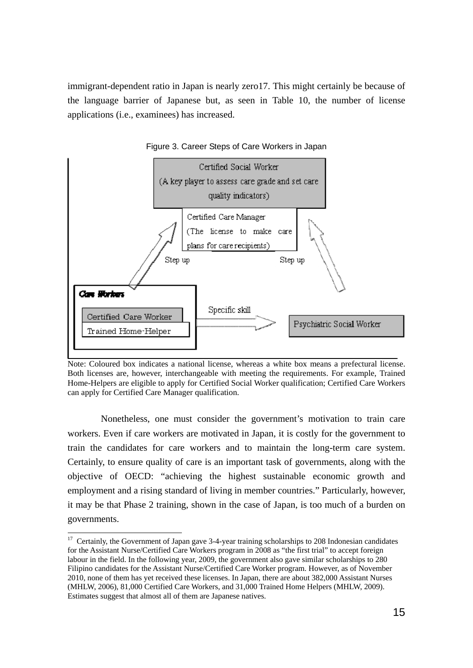immigrant-dependent ratio in Japan is nearly zero17. This might certainly be because of the language barrier of Japanese but, as seen in Table 10, the number of license applications (i.e., examinees) has increased.



Figure 3. Career Steps of Care Workers in Japan

Nonetheless, one must consider the government's motivation to train care workers. Even if care workers are motivated in Japan, it is costly for the government to train the candidates for care workers and to maintain the long-term care system. Certainly, to ensure quality of care is an important task of governments, along with the objective of OECD: "achieving the highest sustainable economic growth and employment and a rising standard of living in member countries." Particularly, however, it may be that Phase 2 training, shown in the case of Japan, is too much of a burden on governments.

1

Note: Coloured box indicates a national license, whereas a white box means a prefectural license. Both licenses are, however, interchangeable with meeting the requirements. For example, Trained Home-Helpers are eligible to apply for Certified Social Worker qualification; Certified Care Workers can apply for Certified Care Manager qualification.

 $17$  Certainly, the Government of Japan gave 3-4-year training scholarships to 208 Indonesian candidates for the Assistant Nurse/Certified Care Workers program in 2008 as "the first trial" to accept foreign labour in the field. In the following year, 2009, the government also gave similar scholarships to 280 Filipino candidates for the Assistant Nurse/Certified Care Worker program. However, as of November 2010, none of them has yet received these licenses. In Japan, there are about 382,000 Assistant Nurses (MHLW, 2006), 81,000 Certified Care Workers, and 31,000 Trained Home Helpers (MHLW, 2009). Estimates suggest that almost all of them are Japanese natives.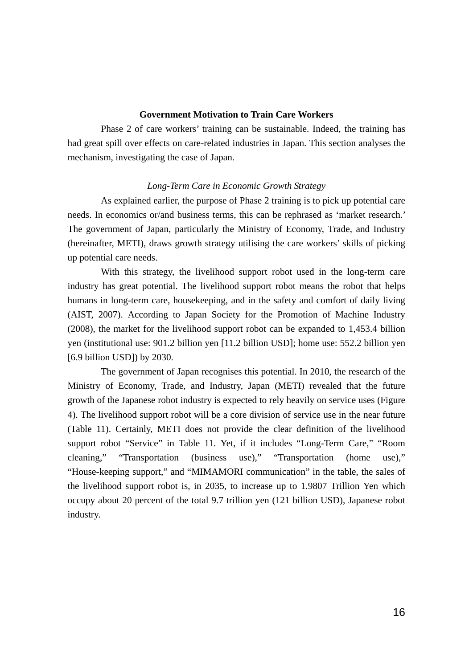### **Government Motivation to Train Care Workers**

Phase 2 of care workers' training can be sustainable. Indeed, the training has had great spill over effects on care-related industries in Japan. This section analyses the mechanism, investigating the case of Japan.

#### *Long-Term Care in Economic Growth Strategy*

As explained earlier, the purpose of Phase 2 training is to pick up potential care needs. In economics or/and business terms, this can be rephrased as 'market research.' The government of Japan, particularly the Ministry of Economy, Trade, and Industry (hereinafter, METI), draws growth strategy utilising the care workers' skills of picking up potential care needs.

With this strategy, the livelihood support robot used in the long-term care industry has great potential. The livelihood support robot means the robot that helps humans in long-term care, housekeeping, and in the safety and comfort of daily living (AIST, 2007). According to Japan Society for the Promotion of Machine Industry (2008), the market for the livelihood support robot can be expanded to 1,453.4 billion yen (institutional use: 901.2 billion yen [11.2 billion USD]; home use: 552.2 billion yen [6.9 billion USD]) by 2030.

The government of Japan recognises this potential. In 2010, the research of the Ministry of Economy, Trade, and Industry, Japan (METI) revealed that the future growth of the Japanese robot industry is expected to rely heavily on service uses (Figure 4). The livelihood support robot will be a core division of service use in the near future (Table 11). Certainly, METI does not provide the clear definition of the livelihood support robot "Service" in Table 11. Yet, if it includes "Long-Term Care," "Room cleaning," "Transportation (business use)," "Transportation (home use)," "House-keeping support," and "MIMAMORI communication" in the table, the sales of the livelihood support robot is, in 2035, to increase up to 1.9807 Trillion Yen which occupy about 20 percent of the total 9.7 trillion yen (121 billion USD), Japanese robot industry.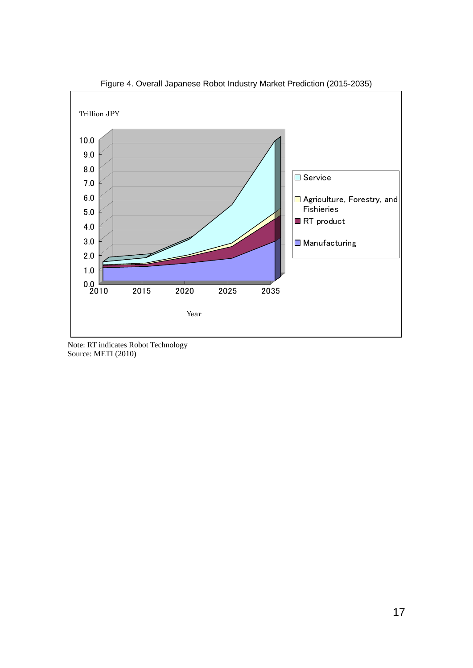

Figure 4. Overall Japanese Robot Industry Market Prediction (2015-2035)

Note: RT indicates Robot Technology Source: METI (2010)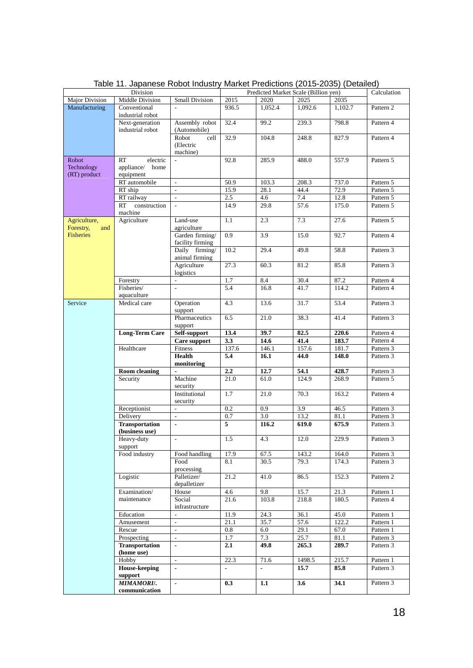| Division              |                       |                                            | Predicted Market Scale (Billion yen) |                   |              |                | Calculation            |
|-----------------------|-----------------------|--------------------------------------------|--------------------------------------|-------------------|--------------|----------------|------------------------|
| <b>Major Division</b> | Middle Division       | <b>Small Division</b>                      | 2015                                 | 2020              | 2025         | 2035           |                        |
| Manufacturing         | Conventional          | $\overline{a}$                             | 936.5                                | 1,052.4           | 1,092.6      | 1,102.7        | Pattern 2              |
|                       | industrial robot      |                                            |                                      |                   |              |                |                        |
|                       | Next-generation       | Assembly robot                             | 32.4                                 | 99.2              | 239.3        | 798.8          | Pattern 4              |
|                       | industrial robot      | (Automobile)                               |                                      |                   |              |                |                        |
|                       |                       | Robot<br>cell                              | 32.9                                 | 104.8             | 248.8        | 827.9          | Pattern 4              |
|                       |                       | (Electric                                  |                                      |                   |              |                |                        |
| Robot                 | RT<br>electric        | machine)                                   | 92.8                                 | 285.9             | 488.0        | 557.9          | Pattern 5              |
| Technology            | appliance/<br>home    |                                            |                                      |                   |              |                |                        |
| (RT) product          | equipment             |                                            |                                      |                   |              |                |                        |
|                       | RT automobile         | $\mathcal{L}^{\mathcal{L}}$                | 50.9                                 | 103.3             | 208.3        | 737.0          | Pattern 5              |
|                       | RT ship               | $\overline{a}$                             | 15.9                                 | 28.1              | 44.4         | 72.9           | Pattern 5              |
|                       | RT railway            | $\bar{\phantom{a}}$                        | 2.5                                  | 4.6               | 7.4          | 12.8           | Pattern 5              |
|                       | RT<br>construction    | $\overline{\phantom{a}}$                   | 14.9                                 | 29.8              | 57.6         | 175.0          | Pattern 5              |
|                       | machine               |                                            |                                      |                   |              |                |                        |
| Agriculture,          | Agriculture           | Land-use                                   | 1.1                                  | 2.3               | 7.3          | 27.6           | Pattern 5              |
| Forestry,<br>and      |                       | agriculture                                |                                      |                   |              |                |                        |
| <b>Fisheries</b>      |                       | Garden firming/                            | 0.9                                  | 3.9               | 15.0         | 92.7           | Pattern 4              |
|                       |                       | facility firming                           |                                      |                   |              |                |                        |
|                       |                       | Daily firming/                             | 10.2                                 | 29.4              | 49.8         | 58.8           | Pattern 3              |
|                       |                       | animal firming                             |                                      |                   |              |                |                        |
|                       |                       | Agriculture                                | 27.3                                 | 60.3              | 81.2         | 85.8           | Pattern 3              |
|                       |                       | logistics                                  |                                      |                   |              |                |                        |
|                       | Forestry              | $\overline{a}$                             | 1.7                                  | 8.4               | 30.4         | 87.2           | Pattern 4              |
|                       | Fisheries/            | $\overline{a}$                             | 5.4                                  | 16.8              | 41.7         | 114.2          | Pattern 4              |
|                       | aquaculture           |                                            |                                      |                   |              |                |                        |
| Service               | Medical care          | Operation                                  | 4.3                                  | 13.6              | 31.7         | 53.4           | Pattern 3              |
|                       |                       | support<br>Pharmaceutics                   |                                      |                   |              |                |                        |
|                       |                       |                                            | 6.5                                  | 21.0              | 38.3         | 41.4           | Pattern 3              |
|                       |                       | support                                    |                                      | 39.7              |              |                |                        |
|                       | <b>Long-Term Care</b> | Self-support<br>Care support               | 13.4<br>3.3                          | $\overline{14.6}$ | 82.5<br>41.4 | 220.6<br>183.7 | Pattern 4<br>Pattern 4 |
|                       | Healthcare            | Fitness                                    | 137.6                                | 146.1             | 157.6        | 181.7          | Pattern 3              |
|                       |                       | <b>Health</b>                              | 5.4                                  | 16.1              | 44.0         | 148.0          | Pattern 3              |
|                       |                       | monitoring                                 |                                      |                   |              |                |                        |
|                       | <b>Room</b> cleaning  |                                            | 2.2                                  | 12.7              | 54.1         | 428.7          | Pattern 3              |
|                       | Security              | Machine                                    | 21.0                                 | 61.0              | 124.9        | 268.9          | Pattern 5              |
|                       |                       | security                                   |                                      |                   |              |                |                        |
|                       |                       | Institutional                              | 1.7                                  | 21.0              | 70.3         | 163.2          | Pattern 4              |
|                       |                       | security                                   |                                      |                   |              |                |                        |
|                       | Receptionist          | $\overline{a}$                             | 0.2                                  | 0.9               | 3.9          | 46.5           | Pattern 3              |
|                       | Delivery              | L.                                         | 0.7                                  | 3.0               | 13.2         | 81.1           | Pattern 3              |
|                       | <b>Transportation</b> | $\blacksquare$                             | 5                                    | 116.2             | 619.0        | 675.9          | Pattern 3              |
|                       | (business use)        |                                            |                                      |                   |              |                |                        |
|                       | Heavy-duty            | $\mathbb{Z}^2$                             | 1.5                                  | 4.3               | 12.0         | 229.9          | Pattern 3              |
|                       | support               |                                            |                                      |                   |              |                |                        |
|                       | Food industry         | Food handling                              | 17.9                                 | 67.5              | 143.2        | 164.0          | Pattern 3              |
|                       |                       | Food                                       | 8.1                                  | 30.5              | 79.3         | 174.3          | Pattern 3              |
|                       |                       | processing                                 |                                      |                   |              |                |                        |
|                       | Logistic              | Palletizer/                                | 21.2                                 | 41.0              | 86.5         | 152.3          | Pattern 2              |
|                       |                       | depalletizer                               |                                      |                   |              |                |                        |
|                       | Examination/          | House                                      | 4.6                                  | 9.8               | 15.7         | 21.3           | Pattern 1              |
|                       | maintenance           | Social                                     | 21.6                                 | 103.8             | 218.8        | 180.5          | Pattern 4              |
|                       | Education             | infrastructure<br>$\overline{\phantom{a}}$ | 11.9                                 | 24.3              | 36.1         | 45.0           |                        |
|                       |                       | $\blacksquare$                             | 21.1                                 | 35.7              | 57.6         | 122.2          | Pattern 1<br>Pattern 1 |
|                       | Amusement<br>Rescue   | $\mathbb{Z}^2$                             | $0.8\,$                              | 6.0               | 29.1         | 67.0           | Pattern 1              |
|                       | Prospecting           | $\Box$                                     | 1.7                                  | 7.3               | 25.7         | 81.1           | Pattern 3              |
|                       | <b>Transportation</b> |                                            | 2.1                                  | 49.8              | 265.3        | 289.7          | Pattern 3              |
|                       | (home use)            |                                            |                                      |                   |              |                |                        |
|                       | Hobby                 | $\mathcal{L}_{\mathcal{A}}$                | 22.3                                 | 71.6              | 1498.5       | 215.7          | Pattern 1              |
|                       | <b>House-keeping</b>  | $\blacksquare$                             | $\blacksquare$                       | $\blacksquare$    | 15.7         | 85.8           | Pattern 3              |
|                       | support               |                                            |                                      |                   |              |                |                        |
|                       | <b>MIMAMORI/.</b>     | $\blacksquare$                             | 0.3                                  | 1.1               | 3.6          | 34.1           | Pattern 3              |
|                       | communication         |                                            |                                      |                   |              |                |                        |

Table 11. Japanese Robot Industry Market Predictions (2015-2035) (Detailed)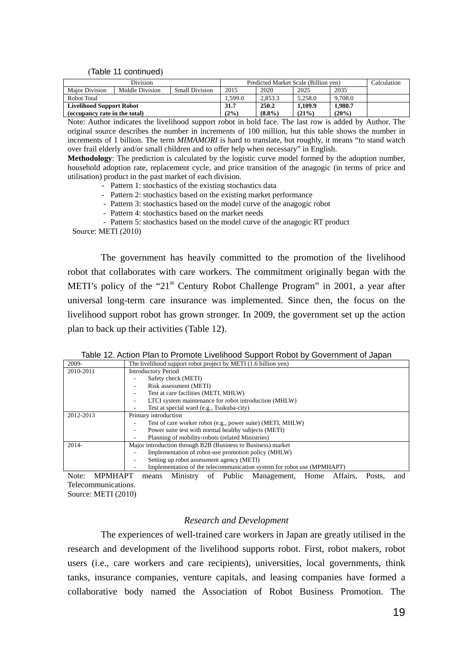(Table 11 continued)

| Division                        |                 | Predicted Market Scale (Billion ven) |        |           |         | Calculation |  |
|---------------------------------|-----------------|--------------------------------------|--------|-----------|---------|-------------|--|
| <b>Maior Division</b>           | Middle Division | <b>Small Division</b>                | 2015   | 2020      | 2025    | 2035        |  |
| Robot Total                     |                 |                                      | .599.0 | 2.853.3   | 5.258.0 | 9.708.0     |  |
| <b>Livelihood Support Robot</b> |                 |                                      | 31.7   | 250.2     | 1.109.9 | 1.980.7     |  |
| (occupancy rate in the total)   |                 |                                      | (2%)   | $(8.8\%)$ | (21%)   | (20%)       |  |

Note: Author indicates the livelihood support robot in bold face. The last row is added by Author. The original source describes the number in increments of 100 million, but this table shows the number in increments of 1 billion. The term *MIMAMORI* is hard to translate, but roughly, it means "to stand watch over frail elderly and/or small children and to offer help when necessary" in English.

**Methodology**: The prediction is calculated by the logistic curve model formed by the adoption number, household adoption rate, replacement cycle, and price transition of the anagogic (in terms of price and utilisation) product in the past market of each division.

- Pattern 1: stochastics of the existing stochastics data
- Pattern 2: stochastics based on the existing market performance
- Pattern 3: stochastics based on the model curve of the anagogic robot
- Pattern 4: stochastics based on the market needs

- Pattern 5: stochastics based on the model curve of the anagogic RT product

Source: METI (2010)

The government has heavily committed to the promotion of the livelihood robot that collaborates with care workers. The commitment originally began with the METI's policy of the "21 $^{\text{st}}$  Century Robot Challenge Program" in 2001, a year after universal long-term care insurance was implemented. Since then, the focus on the livelihood support robot has grown stronger. In 2009, the government set up the action plan to back up their activities (Table 12).

|  |  | Table 12. Action Plan to Promote Livelihood Support Robot by Government of Japan |
|--|--|----------------------------------------------------------------------------------|
|  |  |                                                                                  |

| 2009-         | The livelihood support robot project by METI (1.6 billion yen)         |  |  |
|---------------|------------------------------------------------------------------------|--|--|
| 2010-2011     | <b>Introductory Period</b>                                             |  |  |
|               | Safety check (METI)                                                    |  |  |
|               | Risk assessment (METI)                                                 |  |  |
|               | Test at care facilities (METI, MHLW)                                   |  |  |
|               | LTCI system maintenance for robot introduction (MHLW)                  |  |  |
|               | Test at special ward (e.g., Tsukuba-city)                              |  |  |
| 2012-2013     | Primary introduction                                                   |  |  |
|               | Test of care worker robot (e.g., power suite) (METI, MHLW)             |  |  |
|               | Power suite test with normal healthy subjects (METI)                   |  |  |
|               | Planning of mobility-robots (related Ministries)                       |  |  |
| $2014-$       | Major introduction through B2B (Business to Business) market           |  |  |
|               | Implementation of robot-use promotion policy (MHLW)                    |  |  |
|               | Setting up robot assessment agency (METI)                              |  |  |
|               | Implementation of the telecommunication system for robot use (MPMHAPT) |  |  |
| $\sim$ $\sim$ |                                                                        |  |  |

Note: MPMHAPT means Ministry of Public Management, Home Affairs, Posts, and Telecommunications. Source: METI (2010)

#### *Research and Development*

The experiences of well-trained care workers in Japan are greatly utilised in the research and development of the livelihood supports robot. First, robot makers, robot users (i.e., care workers and care recipients), universities, local governments, think tanks, insurance companies, venture capitals, and leasing companies have formed a collaborative body named the Association of Robot Business Promotion. The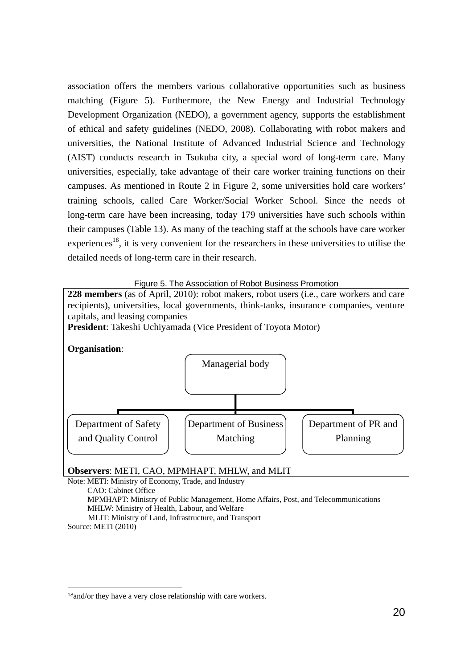association offers the members various collaborative opportunities such as business matching (Figure 5). Furthermore, the New Energy and Industrial Technology Development Organization (NEDO), a government agency, supports the establishment of ethical and safety guidelines (NEDO, 2008). Collaborating with robot makers and universities, the National Institute of Advanced Industrial Science and Technology (AIST) conducts research in Tsukuba city, a special word of long-term care. Many universities, especially, take advantage of their care worker training functions on their campuses. As mentioned in Route 2 in Figure 2, some universities hold care workers' training schools, called Care Worker/Social Worker School. Since the needs of long-term care have been increasing, today 179 universities have such schools within their campuses (Table 13). As many of the teaching staff at the schools have care worker experiences<sup>18</sup>, it is very convenient for the researchers in these universities to utilise the detailed needs of long-term care in their research.

Figure 5. The Association of Robot Business Promotion

**228 members** (as of April, 2010): robot makers, robot users (i.e., care workers and care recipients), universities, local governments, think-tanks, insurance companies, venture capitals, and leasing companies **President**: Takeshi Uchiyamada (Vice President of Toyota Motor) **Organisation**: Managerial body



**Observers**: METI, CAO, MPMHAPT, MHLW, and MLIT

Note: METI: Ministry of Economy, Trade, and Industry CAO: Cabinet Office MPMHAPT: Ministry of Public Management, Home Affairs, Post, and Telecommunications MHLW: Ministry of Health, Labour, and Welfare MLIT: Ministry of Land, Infrastructure, and Transport Source: METI (2010)

<sup>18</sup>and/or they have a very close relationship with care workers.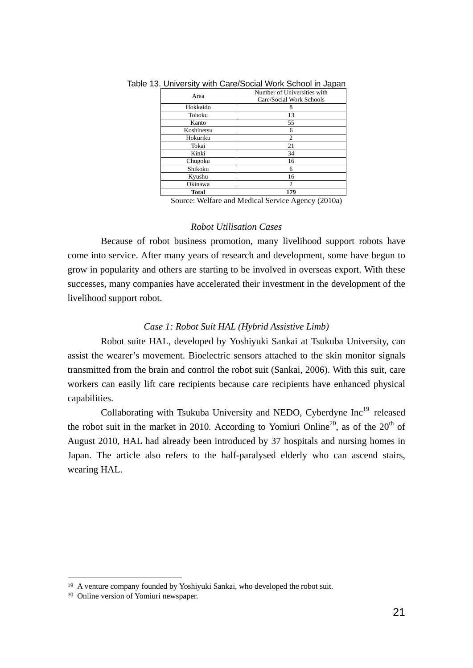| Area       | Number of Universities with<br>Care/Social Work Schools |  |  |
|------------|---------------------------------------------------------|--|--|
| Hokkaido   | 8                                                       |  |  |
| Tohoku     | 13                                                      |  |  |
| Kanto      | 55                                                      |  |  |
| Koshinetsu | 6                                                       |  |  |
| Hokuriku   | $\overline{c}$                                          |  |  |
| Tokai      | 21                                                      |  |  |
| Kinki      | 34                                                      |  |  |
| Chugoku    | 16                                                      |  |  |
| Shikoku    | 6                                                       |  |  |
| Kyushu     | 16                                                      |  |  |
| Okinawa    | $\overline{2}$                                          |  |  |
| Total      | 179                                                     |  |  |

Table 13. University with Care/Social Work School in Japan

Source: Welfare and Medical Service Agency (2010a)

#### *Robot Utilisation Cases*

Because of robot business promotion, many livelihood support robots have come into service. After many years of research and development, some have begun to grow in popularity and others are starting to be involved in overseas export. With these successes, many companies have accelerated their investment in the development of the livelihood support robot.

## *Case 1: Robot Suit HAL (Hybrid Assistive Limb)*

Robot suite HAL, developed by Yoshiyuki Sankai at Tsukuba University, can assist the wearer's movement. Bioelectric sensors attached to the skin monitor signals transmitted from the brain and control the robot suit (Sankai, 2006). With this suit, care workers can easily lift care recipients because care recipients have enhanced physical capabilities.

Collaborating with Tsukuba University and NEDO, Cyberdyne Inc<sup>19</sup> released the robot suit in the market in 2010. According to Yomiuri Online<sup>20</sup>, as of the  $20<sup>th</sup>$  of August 2010, HAL had already been introduced by 37 hospitals and nursing homes in Japan. The article also refers to the half-paralysed elderly who can ascend stairs, wearing HAL.

<sup>19</sup> A venture company founded by Yoshiyuki Sankai, who developed the robot suit.

<sup>20</sup> Online version of Yomiuri newspaper.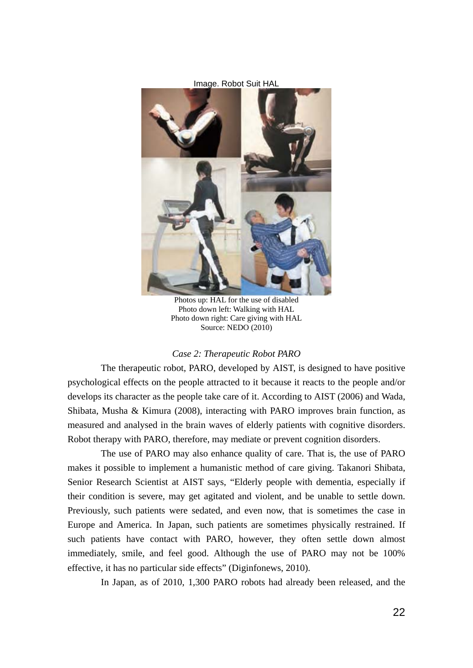

Photos up: HAL for the use of disabled Photo down left: Walking with HAL Photo down right: Care giving with HAL Source: NEDO (2010)

#### *Case 2: Therapeutic Robot PARO*

The therapeutic robot, PARO, developed by AIST, is designed to have positive psychological effects on the people attracted to it because it reacts to the people and/or develops its character as the people take care of it. According to AIST (2006) and Wada, Shibata, Musha & Kimura (2008), interacting with PARO improves brain function, as measured and analysed in the brain waves of elderly patients with cognitive disorders. Robot therapy with PARO, therefore, may mediate or prevent cognition disorders.

The use of PARO may also enhance quality of care. That is, the use of PARO makes it possible to implement a humanistic method of care giving. Takanori Shibata, Senior Research Scientist at AIST says, "Elderly people with dementia, especially if their condition is severe, may get agitated and violent, and be unable to settle down. Previously, such patients were sedated, and even now, that is sometimes the case in Europe and America. In Japan, such patients are sometimes physically restrained. If such patients have contact with PARO, however, they often settle down almost immediately, smile, and feel good. Although the use of PARO may not be 100% effective, it has no particular side effects" (Diginfonews, 2010).

In Japan, as of 2010, 1,300 PARO robots had already been released, and the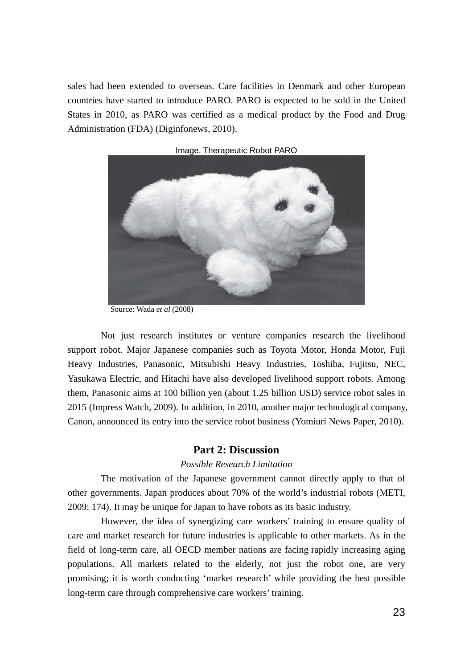sales had been extended to overseas. Care facilities in Denmark and other European countries have started to introduce PARO. PARO is expected to be sold in the United States in 2010, as PARO was certified as a medical product by the Food and Drug Administration (FDA) (Diginfonews, 2010).



Image. Therapeutic Robot PARO

Source: Wada *et al* (2008)

Not just research institutes or venture companies research the livelihood support robot. Major Japanese companies such as Toyota Motor, Honda Motor, Fuji Heavy Industries, Panasonic, Mitsubishi Heavy Industries, Toshiba, Fujitsu, NEC, Yasukawa Electric, and Hitachi have also developed livelihood support robots. Among them, Panasonic aims at 100 billion yen (about 1.25 billion USD) service robot sales in 2015 (Impress Watch, 2009). In addition, in 2010, another major technological company, Canon, announced its entry into the service robot business (Yomiuri News Paper, 2010).

## **Part 2: Discussion**

## *Possible Research Limitation*

The motivation of the Japanese government cannot directly apply to that of other governments. Japan produces about 70% of the world's industrial robots (METI, 2009: 174). It may be unique for Japan to have robots as its basic industry.

However, the idea of synergizing care workers' training to ensure quality of care and market research for future industries is applicable to other markets. As in the field of long-term care, all OECD member nations are facing rapidly increasing aging populations. All markets related to the elderly, not just the robot one, are very promising; it is worth conducting 'market research' while providing the best possible long-term care through comprehensive care workers' training.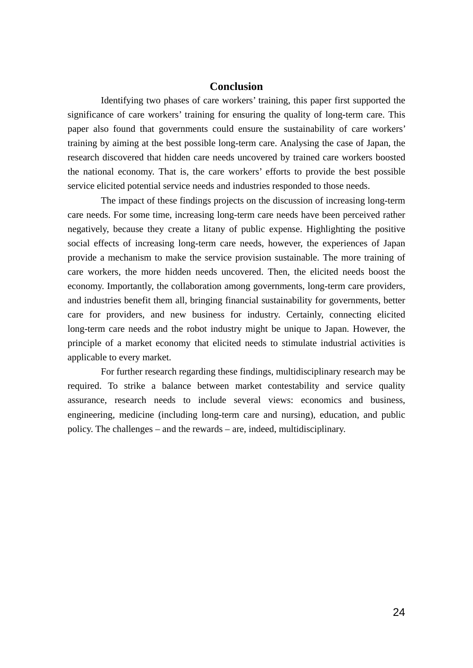## **Conclusion**

Identifying two phases of care workers' training, this paper first supported the significance of care workers' training for ensuring the quality of long-term care. This paper also found that governments could ensure the sustainability of care workers' training by aiming at the best possible long-term care. Analysing the case of Japan, the research discovered that hidden care needs uncovered by trained care workers boosted the national economy. That is, the care workers' efforts to provide the best possible service elicited potential service needs and industries responded to those needs.

The impact of these findings projects on the discussion of increasing long-term care needs. For some time, increasing long-term care needs have been perceived rather negatively, because they create a litany of public expense. Highlighting the positive social effects of increasing long-term care needs, however, the experiences of Japan provide a mechanism to make the service provision sustainable. The more training of care workers, the more hidden needs uncovered. Then, the elicited needs boost the economy. Importantly, the collaboration among governments, long-term care providers, and industries benefit them all, bringing financial sustainability for governments, better care for providers, and new business for industry. Certainly, connecting elicited long-term care needs and the robot industry might be unique to Japan. However, the principle of a market economy that elicited needs to stimulate industrial activities is applicable to every market.

For further research regarding these findings, multidisciplinary research may be required. To strike a balance between market contestability and service quality assurance, research needs to include several views: economics and business, engineering, medicine (including long-term care and nursing), education, and public policy. The challenges – and the rewards – are, indeed, multidisciplinary.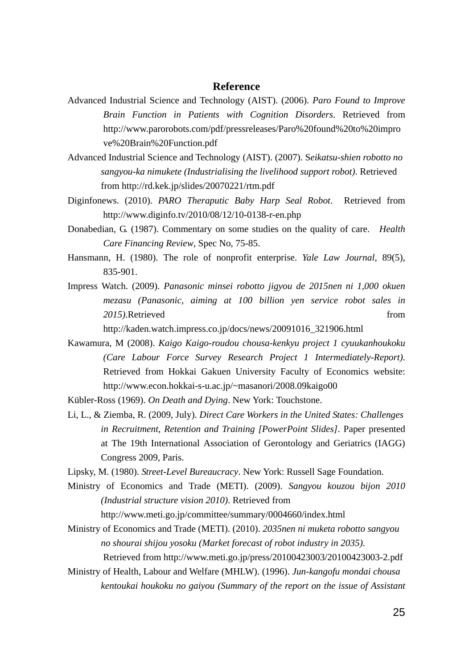## **Reference**

- Advanced Industrial Science and Technology (AIST). (2006). *Paro Found to Improve Brain Function in Patients with Cognition Disorders*. Retrieved from http://www.parorobots.com/pdf/pressreleases/Paro%20found%20to%20impro ve%20Brain%20Function.pdf
- Advanced Industrial Science and Technology (AIST). (2007). S*eikatsu-shien robotto no sangyou-ka nimukete (Industrialising the livelihood support robot)*. Retrieved from http://rd.kek.jp/slides/20070221/rtm.pdf
- Diginfonews. (2010). *PARO Theraputic Baby Harp Seal Robot*. Retrieved from http://www.diginfo.tv/2010/08/12/10-0138-r-en.php
- Donabedian, G. (1987). Commentary on some studies on the quality of care. *Health Care Financing Review*, Spec No, 75-85.
- Hansmann, H. (1980). The role of nonprofit enterprise. *Yale Law Journal*, 89(5), 835-901.
- Impress Watch. (2009). *Panasonic minsei robotto jigyou de 2015nen ni 1,000 okuen mezasu (Panasonic, aiming at 100 billion yen service robot sales in*  2015).Retrieved from

http://kaden.watch.impress.co.jp/docs/news/20091016\_321906.html

Kawamura, M (2008). *Kaigo Kaigo-roudou chousa-kenkyu project 1 cyuukanhoukoku (Care Labour Force Survey Research Project 1 Intermediately-Report)*. Retrieved from Hokkai Gakuen University Faculty of Economics website: http://www.econ.hokkai-s-u.ac.jp/~masanori/2008.09kaigo00

Kübler-Ross (1969). *On Death and Dying*. New York: Touchstone.

- Li, L., & Ziemba, R. (2009, July). *Direct Care Workers in the United States: Challenges in Recruitment, Retention and Training [PowerPoint Slides]*. Paper presented at The 19th International Association of Gerontology and Geriatrics (IAGG) Congress 2009, Paris.
- Lipsky, M. (1980). *Street-Level Bureaucracy*. New York: Russell Sage Foundation.
- Ministry of Economics and Trade (METI). (2009). *Sangyou kouzou bijon 2010 (Industrial structure vision 2010)*. Retrieved from

http://www.meti.go.jp/committee/summary/0004660/index.html

Ministry of Economics and Trade (METI). (2010). *2035nen ni muketa robotto sangyou no shourai shijou yosoku (Market forecast of robot industry in 2035)*.

Retrieved from http://www.meti.go.jp/press/20100423003/20100423003-2.pdf

Ministry of Health, Labour and Welfare (MHLW). (1996). *Jun-kangofu mondai chousa kentoukai houkoku no gaiyou (Summary of the report on the issue of Assistant*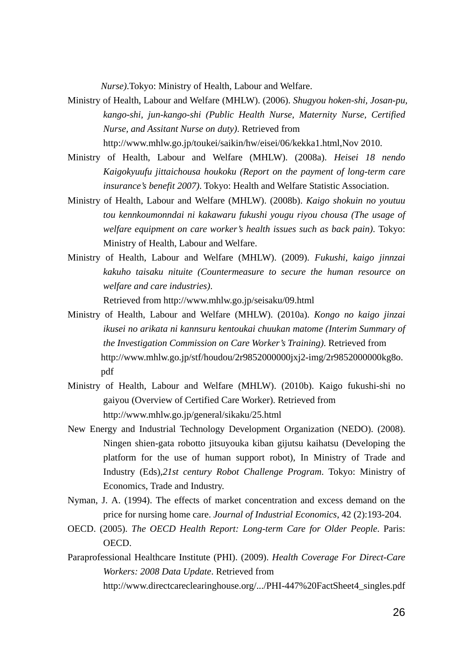*Nurse)*.Tokyo: Ministry of Health, Labour and Welfare.

- Ministry of Health, Labour and Welfare (MHLW). (2006). *Shugyou hoken-shi, Josan-pu, kango-shi, jun-kango-shi (Public Health Nurse, Maternity Nurse, Certified Nurse, and Assitant Nurse on duty)*. Retrieved from http://www.mhlw.go.jp/toukei/saikin/hw/eisei/06/kekka1.html,Nov 2010.
- Ministry of Health, Labour and Welfare (MHLW). (2008a). *Heisei 18 nendo Kaigokyuufu jittaichousa houkoku (Report on the payment of long-term care insurance's benefit 2007)*. Tokyo: Health and Welfare Statistic Association.
- Ministry of Health, Labour and Welfare (MHLW). (2008b). *Kaigo shokuin no youtuu tou kennkoumonndai ni kakawaru fukushi yougu riyou chousa (The usage of welfare equipment on care worker's health issues such as back pain)*. Tokyo: Ministry of Health, Labour and Welfare.
- Ministry of Health, Labour and Welfare (MHLW). (2009). *Fukushi, kaigo jinnzai kakuho taisaku nituite (Countermeasure to secure the human resource on welfare and care industries)*.

Retrieved from http://www.mhlw.go.jp/seisaku/09.html

- Ministry of Health, Labour and Welfare (MHLW). (2010a). *Kongo no kaigo jinzai ikusei no arikata ni kannsuru kentoukai chuukan matome (Interim Summary of the Investigation Commission on Care Worker's Training)*. Retrieved from http://www.mhlw.go.jp/stf/houdou/2r9852000000jxj2-img/2r9852000000kg8o. pdf
- Ministry of Health, Labour and Welfare (MHLW). (2010b). Kaigo fukushi-shi no gaiyou (Overview of Certified Care Worker). Retrieved from http://www.mhlw.go.jp/general/sikaku/25.html
- New Energy and Industrial Technology Development Organization (NEDO). (2008). Ningen shien-gata robotto jitsuyouka kiban gijutsu kaihatsu (Developing the platform for the use of human support robot), In Ministry of Trade and Industry (Eds),*21st century Robot Challenge Program*. Tokyo: Ministry of Economics, Trade and Industry.
- Nyman, J. A. (1994). The effects of market concentration and excess demand on the price for nursing home care. *Journal of Industrial Economics*, 42 (2):193-204.
- OECD. (2005). *The OECD Health Report: Long-term Care for Older People*. Paris: OECD.
- Paraprofessional Healthcare Institute (PHI). (2009). *Health Coverage For Direct-Care Workers: 2008 Data Update*. Retrieved from http://www.directcareclearinghouse.org/.../PHI-447%20FactSheet4\_singles.pdf